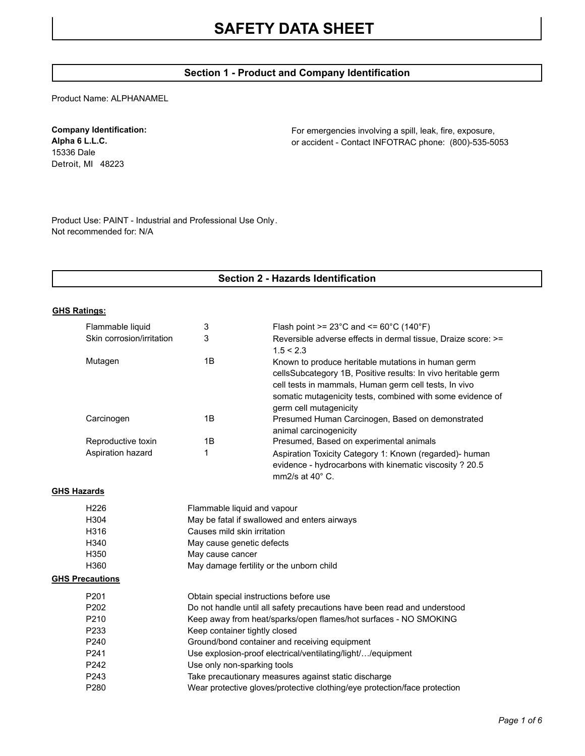# **Section 1 - Product and Company Identification**

Product Name: ALPHANAMEL

# **Company Identification:**

**Alpha 6 L.L.C.** 15336 Dale Detroit, MI 48223 For emergencies involving a spill, leak, fire, exposure, or accident - Contact INFOTRAC phone: (800)-535-5053

Product Use: PAINT - Industrial and Professional Use Only. Not recommended for: N/A

# **Section 2 - Hazards Identification**

#### **GHS Ratings:**

|                    | Flammable liquid          | 3                                                                        | Flash point >= $23^{\circ}$ C and <= $60^{\circ}$ C (140 $^{\circ}$ F)                                                                                                                                                                                               |  |
|--------------------|---------------------------|--------------------------------------------------------------------------|----------------------------------------------------------------------------------------------------------------------------------------------------------------------------------------------------------------------------------------------------------------------|--|
|                    | Skin corrosion/irritation | 3                                                                        | Reversible adverse effects in dermal tissue, Draize score: >=<br>1.5 < 2.3                                                                                                                                                                                           |  |
|                    | Mutagen                   | 1B                                                                       | Known to produce heritable mutations in human germ<br>cellsSubcategory 1B, Positive results: In vivo heritable germ<br>cell tests in mammals, Human germ cell tests, In vivo<br>somatic mutagenicity tests, combined with some evidence of<br>germ cell mutagenicity |  |
|                    | Carcinogen                | 1B                                                                       | Presumed Human Carcinogen, Based on demonstrated<br>animal carcinogenicity                                                                                                                                                                                           |  |
|                    | Reproductive toxin        | 1B                                                                       | Presumed, Based on experimental animals                                                                                                                                                                                                                              |  |
|                    | Aspiration hazard         | 1                                                                        | Aspiration Toxicity Category 1: Known (regarded)- human<br>evidence - hydrocarbons with kinematic viscosity ? 20.5<br>$mm2/s$ at 40 $^{\circ}$ C.                                                                                                                    |  |
| <b>GHS Hazards</b> |                           |                                                                          |                                                                                                                                                                                                                                                                      |  |
|                    | H <sub>226</sub>          | Flammable liquid and vapour                                              |                                                                                                                                                                                                                                                                      |  |
|                    | H304                      | May be fatal if swallowed and enters airways                             |                                                                                                                                                                                                                                                                      |  |
|                    | H316                      | Causes mild skin irritation                                              |                                                                                                                                                                                                                                                                      |  |
|                    | H340                      | May cause genetic defects                                                |                                                                                                                                                                                                                                                                      |  |
|                    | H350                      | May cause cancer                                                         |                                                                                                                                                                                                                                                                      |  |
|                    | H360                      | May damage fertility or the unborn child                                 |                                                                                                                                                                                                                                                                      |  |
|                    | <b>GHS Precautions</b>    |                                                                          |                                                                                                                                                                                                                                                                      |  |
|                    | P201                      | Obtain special instructions before use                                   |                                                                                                                                                                                                                                                                      |  |
|                    | P202                      | Do not handle until all safety precautions have been read and understood |                                                                                                                                                                                                                                                                      |  |
|                    | P210                      | Keep away from heat/sparks/open flames/hot surfaces - NO SMOKING         |                                                                                                                                                                                                                                                                      |  |
|                    | P233                      | Keep container tightly closed                                            |                                                                                                                                                                                                                                                                      |  |
|                    | P240                      | Ground/bond container and receiving equipment                            |                                                                                                                                                                                                                                                                      |  |
|                    | P241                      | Use explosion-proof electrical/ventilating/light//equipment              |                                                                                                                                                                                                                                                                      |  |
|                    | P242                      | Use only non-sparking tools                                              |                                                                                                                                                                                                                                                                      |  |
|                    | P243                      | Take precautionary measures against static discharge                     |                                                                                                                                                                                                                                                                      |  |
|                    | P280                      |                                                                          | Wear protective gloves/protective clothing/eye protection/face protection                                                                                                                                                                                            |  |
|                    |                           |                                                                          |                                                                                                                                                                                                                                                                      |  |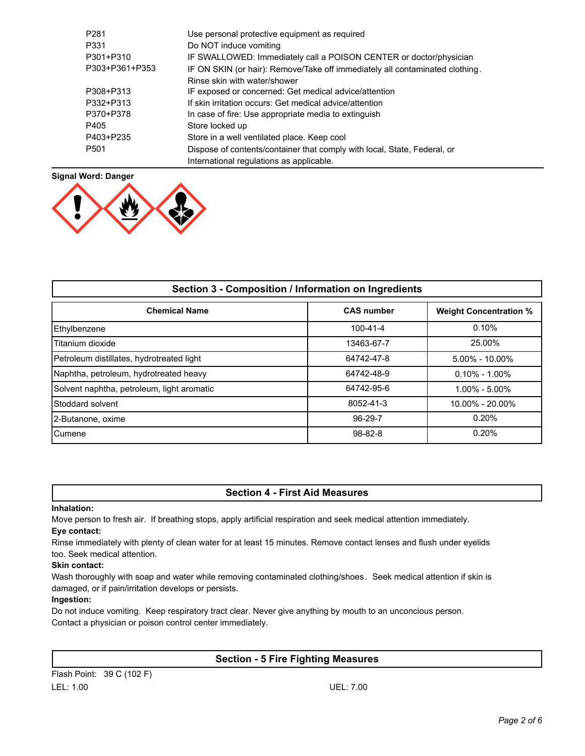| P <sub>281</sub> | Use personal protective equipment as required                                |
|------------------|------------------------------------------------------------------------------|
|                  |                                                                              |
| P331             | Do NOT induce vomiting                                                       |
| P301+P310        | IF SWALLOWED: Immediately call a POISON CENTER or doctor/physician           |
| P303+P361+P353   | IF ON SKIN (or hair): Remove/Take off immediately all contaminated clothing. |
|                  | Rinse skin with water/shower                                                 |
| P308+P313        | IF exposed or concerned: Get medical advice/attention                        |
| P332+P313        | If skin irritation occurs: Get medical advice/attention                      |
| P370+P378        | In case of fire: Use appropriate media to extinguish                         |
| P405             | Store locked up                                                              |
| P403+P235        | Store in a well ventilated place. Keep cool                                  |
| P <sub>501</sub> | Dispose of contents/container that comply with local, State, Federal, or     |
|                  | International regulations as applicable.                                     |



| Section 3 - Composition / Information on Ingredients |                   |                               |  |  |  |
|------------------------------------------------------|-------------------|-------------------------------|--|--|--|
| <b>Chemical Name</b>                                 | <b>CAS number</b> | <b>Weight Concentration %</b> |  |  |  |
| Ethylbenzene                                         | $100 - 41 - 4$    | 0.10%                         |  |  |  |
| Titanium dioxide                                     | 13463-67-7        | 25.00%                        |  |  |  |
| Petroleum distillates, hydrotreated light            | 64742-47-8        | $5.00\% - 10.00\%$            |  |  |  |
| Naphtha, petroleum, hydrotreated heavy               | 64742-48-9        | $0.10\% - 1.00\%$             |  |  |  |
| Solvent naphtha, petroleum, light aromatic           | 64742-95-6        | $1.00\% - 5.00\%$             |  |  |  |
| Stoddard solvent                                     | 8052-41-3         | $10.00\% - 20.00\%$           |  |  |  |
| 2-Butanone, oxime                                    | 96-29-7           | 0.20%                         |  |  |  |
| <b>Cumene</b>                                        | $98 - 82 - 8$     | 0.20%                         |  |  |  |

## **Section 4 - First Aid Measures**

#### **Inhalation:**

Move person to fresh air. If breathing stops, apply artificial respiration and seek medical attention immediately. **Eye contact:**

Rinse immediately with plenty of clean water for at least 15 minutes. Remove contact lenses and flush under eyelids too. Seek medical attention.

#### **Skin contact:**

Wash thoroughly with soap and water while removing contaminated clothing/shoes . Seek medical attention if skin is damaged, or if pain/irritation develops or persists.

#### **Ingestion:**

Do not induce vomiting. Keep respiratory tract clear. Never give anything by mouth to an unconcious person. Contact a physician or poison control center immediately.

# **Section - 5 Fire Fighting Measures**

Flash Point: 39 C (102 F) LEL: 1.00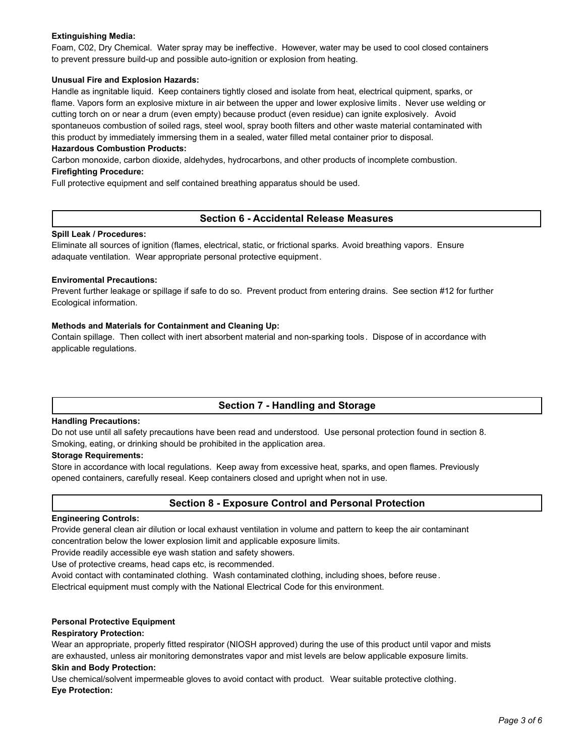## **Extinguishing Media:**

Foam, C02, Dry Chemical. Water spray may be ineffective. However, water may be used to cool closed containers to prevent pressure build-up and possible auto-ignition or explosion from heating.

#### **Unusual Fire and Explosion Hazards:**

Handle as ingnitable liquid. Keep containers tightly closed and isolate from heat, electrical quipment, sparks, or flame. Vapors form an explosive mixture in air between the upper and lower explosive limits . Never use welding or cutting torch on or near a drum (even empty) because product (even residue) can ignite explosively. Avoid spontaneuos combustion of soiled rags, steel wool, spray booth filters and other waste material contaminated with this product by immediately immersing them in a sealed, water filled metal container prior to disposal.

#### **Hazardous Combustion Products:**

Carbon monoxide, carbon dioxide, aldehydes, hydrocarbons, and other products of incomplete combustion. **Firefighting Procedure:**

Full protective equipment and self contained breathing apparatus should be used.

## **Section 6 - Accidental Release Measures**

#### **Spill Leak / Procedures:**

Eliminate all sources of ignition (flames, electrical, static, or frictional sparks. Avoid breathing vapors. Ensure adaquate ventilation. Wear appropriate personal protective equipment.

#### **Enviromental Precautions:**

Prevent further leakage or spillage if safe to do so. Prevent product from entering drains. See section #12 for further Ecological information.

#### **Methods and Materials for Containment and Cleaning Up:**

Contain spillage. Then collect with inert absorbent material and non-sparking tools. Dispose of in accordance with applicable regulations.

# **Section 7 - Handling and Storage**

#### **Handling Precautions:**

Do not use until all safety precautions have been read and understood. Use personal protection found in section 8. Smoking, eating, or drinking should be prohibited in the application area.

#### **Storage Requirements:**

Store in accordance with local regulations. Keep away from excessive heat, sparks, and open flames. Previously opened containers, carefully reseal. Keep containers closed and upright when not in use.

# **Section 8 - Exposure Control and Personal Protection**

#### **Engineering Controls:**

Provide general clean air dilution or local exhaust ventilation in volume and pattern to keep the air contaminant concentration below the lower explosion limit and applicable exposure limits.

Provide readily accessible eye wash station and safety showers.

Use of protective creams, head caps etc, is recommended.

Avoid contact with contaminated clothing. Wash contaminated clothing, including shoes, before reuse.

Electrical equipment must comply with the National Electrical Code for this environment.

#### **Personal Protective Equipment**

#### **Respiratory Protection:**

Wear an appropriate, properly fitted respirator (NIOSH approved) during the use of this product until vapor and mists are exhausted, unless air monitoring demonstrates vapor and mist levels are below applicable exposure limits. **Skin and Body Protection:**

Use chemical/solvent impermeable gloves to avoid contact with product. Wear suitable protective clothing. **Eye Protection:**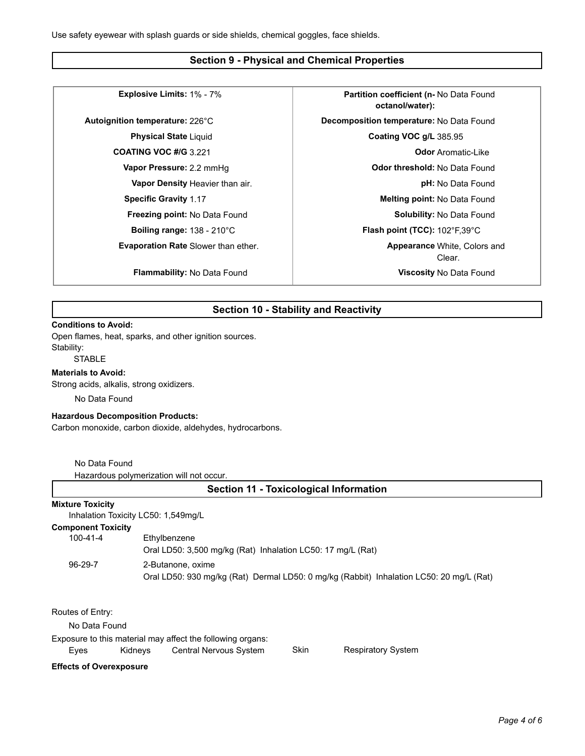## **Section 9 - Physical and Chemical Properties**

**Evaporation Rate** Slower than ether.

**Explosive Limits:** 1% - 7% **Partition coefficient (n-** No Data Found **octanol/water): Autoignition temperature:** 226°C **Decomposition temperature:** No Data Found **Physical State** Liquid **Coating VOC g/L** 385.95 **COATING VOC #/G** 3.221 **Discriming 1.0 COATING VOC #/G** 3.221 **Vapor Pressure:** 2.2 mmHg **Data Found Exercise 2.2 mmHg Odor threshold:** No Data Found **Vapor Density** Heavier than air. **pH:** No Data Found **Specific Gravity** 1.17 **Melting point:** No Data Found **Freezing point:** No Data Found **Solubility:** No Data Found **Solubility:** No Data Found **Boiling range:** 138 - 210°C **Flash point (TCC):** 102°F,39°C Clear. **Appearance** White, Colors and **Flammability:** No Data Found **Viscosity** No Data Found

# **Section 10 - Stability and Reactivity**

#### **Conditions to Avoid:**

Open flames, heat, sparks, and other ignition sources. Stability:

**STABLE** 

#### **Materials to Avoid:**

Strong acids, alkalis, strong oxidizers.

No Data Found

#### **Hazardous Decomposition Products:**

Carbon monoxide, carbon dioxide, aldehydes, hydrocarbons.

No Data Found

Hazardous polymerization will not occur.

| <b>Section 11 - Toxicological Information</b>                  |         |                                                             |             |                                                                                         |  |  |  |
|----------------------------------------------------------------|---------|-------------------------------------------------------------|-------------|-----------------------------------------------------------------------------------------|--|--|--|
| <b>Mixture Toxicity</b><br>Inhalation Toxicity LC50: 1,549mg/L |         |                                                             |             |                                                                                         |  |  |  |
| <b>Component Toxicity</b>                                      |         |                                                             |             |                                                                                         |  |  |  |
| $100 - 41 - 4$                                                 |         | Ethylbenzene                                                |             |                                                                                         |  |  |  |
|                                                                |         | Oral LD50: 3,500 mg/kg (Rat) Inhalation LC50: 17 mg/L (Rat) |             |                                                                                         |  |  |  |
| $96-29-7$                                                      |         | 2-Butanone, oxime                                           |             |                                                                                         |  |  |  |
|                                                                |         |                                                             |             | Oral LD50: 930 mg/kg (Rat) Dermal LD50: 0 mg/kg (Rabbit) Inhalation LC50: 20 mg/L (Rat) |  |  |  |
| Routes of Entry:                                               |         |                                                             |             |                                                                                         |  |  |  |
| No Data Found                                                  |         |                                                             |             |                                                                                         |  |  |  |
|                                                                |         | Exposure to this material may affect the following organs:  |             |                                                                                         |  |  |  |
| Eves                                                           | Kidnevs | Central Nervous System                                      | <b>Skin</b> | <b>Respiratory System</b>                                                               |  |  |  |

## **Effects of Overexposure**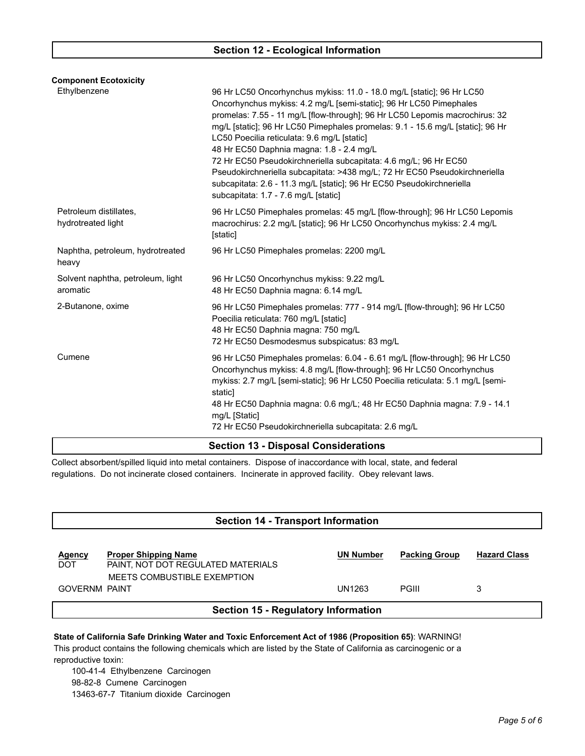| <b>Component Ecotoxicity</b>                  |                                                                                                                                                                                                                                                                                                                                                                                                                                                                                                                                                                                                                                                                            |  |  |  |
|-----------------------------------------------|----------------------------------------------------------------------------------------------------------------------------------------------------------------------------------------------------------------------------------------------------------------------------------------------------------------------------------------------------------------------------------------------------------------------------------------------------------------------------------------------------------------------------------------------------------------------------------------------------------------------------------------------------------------------------|--|--|--|
| Ethylbenzene                                  | 96 Hr LC50 Oncorhynchus mykiss: 11.0 - 18.0 mg/L [static]; 96 Hr LC50<br>Oncorhynchus mykiss: 4.2 mg/L [semi-static]; 96 Hr LC50 Pimephales<br>promelas: 7.55 - 11 mg/L [flow-through]; 96 Hr LC50 Lepomis macrochirus: 32<br>mg/L [static]; 96 Hr LC50 Pimephales promelas: 9.1 - 15.6 mg/L [static]; 96 Hr<br>LC50 Poecilia reticulata: 9.6 mg/L [static]<br>48 Hr EC50 Daphnia magna: 1.8 - 2.4 mg/L<br>72 Hr EC50 Pseudokirchneriella subcapitata: 4.6 mg/L; 96 Hr EC50<br>Pseudokirchneriella subcapitata: >438 mg/L; 72 Hr EC50 Pseudokirchneriella<br>subcapitata: 2.6 - 11.3 mg/L [static]; 96 Hr EC50 Pseudokirchneriella<br>subcapitata: 1.7 - 7.6 mg/L [static] |  |  |  |
| Petroleum distillates,<br>hydrotreated light  | 96 Hr LC50 Pimephales promelas: 45 mg/L [flow-through]; 96 Hr LC50 Lepomis<br>macrochirus: 2.2 mg/L [static]; 96 Hr LC50 Oncorhynchus mykiss: 2.4 mg/L<br>[static]                                                                                                                                                                                                                                                                                                                                                                                                                                                                                                         |  |  |  |
| Naphtha, petroleum, hydrotreated<br>heavy     | 96 Hr LC50 Pimephales promelas: 2200 mg/L                                                                                                                                                                                                                                                                                                                                                                                                                                                                                                                                                                                                                                  |  |  |  |
| Solvent naphtha, petroleum, light<br>aromatic | 96 Hr LC50 Oncorhynchus mykiss: 9.22 mg/L<br>48 Hr EC50 Daphnia magna: 6.14 mg/L                                                                                                                                                                                                                                                                                                                                                                                                                                                                                                                                                                                           |  |  |  |
| 2-Butanone, oxime                             | 96 Hr LC50 Pimephales promelas: 777 - 914 mg/L [flow-through]; 96 Hr LC50<br>Poecilia reticulata: 760 mg/L [static]<br>48 Hr EC50 Daphnia magna: 750 mg/L<br>72 Hr EC50 Desmodesmus subspicatus: 83 mg/L                                                                                                                                                                                                                                                                                                                                                                                                                                                                   |  |  |  |
| Cumene                                        | 96 Hr LC50 Pimephales promelas: 6.04 - 6.61 mg/L [flow-through]; 96 Hr LC50<br>Oncorhynchus mykiss: 4.8 mg/L [flow-through]; 96 Hr LC50 Oncorhynchus<br>mykiss: 2.7 mg/L [semi-static]; 96 Hr LC50 Poecilia reticulata: 5.1 mg/L [semi-<br>static]<br>48 Hr EC50 Daphnia magna: 0.6 mg/L; 48 Hr EC50 Daphnia magna: 7.9 - 14.1<br>mg/L [Static]                                                                                                                                                                                                                                                                                                                            |  |  |  |
|                                               | 72 Hr EC50 Pseudokirchneriella subcapitata: 2.6 mg/L                                                                                                                                                                                                                                                                                                                                                                                                                                                                                                                                                                                                                       |  |  |  |
| <b>Section 13 - Disposal Considerations</b>   |                                                                                                                                                                                                                                                                                                                                                                                                                                                                                                                                                                                                                                                                            |  |  |  |

Collect absorbent/spilled liquid into metal containers. Dispose of inaccordance with local, state, and federal regulations. Do not incinerate closed containers. Incinerate in approved facility. Obey relevant laws.

# **Section 14 - Transport Information Agency Proper Shipping Name UN Number Packing Group Hazard Class** DOT PAINT, NOT DOT REGULATED MATERIALS MEETS COMBUSTIBLE EXEMPTION GOVERNM PAINT 3 3 **Section 15 - Regulatory Information**

**State of California Safe Drinking Water and Toxic Enforcement Act of 1986 (Proposition 65)**: WARNING! This product contains the following chemicals which are listed by the State of California as carcinogenic or a reproductive toxin:

100-41-4 Ethylbenzene Carcinogen 98-82-8 Cumene Carcinogen 13463-67-7 Titanium dioxide Carcinogen